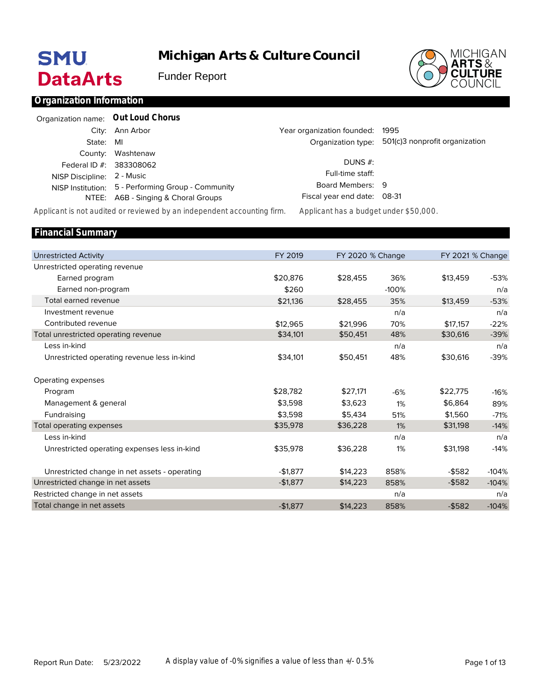# **SMU DataArts**

# **Michigan Arts & Culture Council**

Funder Report



## **Organization Information**

| Organization name: Out Loud Chorus |                                                    |                                 |                                                   |
|------------------------------------|----------------------------------------------------|---------------------------------|---------------------------------------------------|
|                                    | City: Ann Arbor                                    | Year organization founded: 1995 |                                                   |
| State: MI                          |                                                    |                                 | Organization type: 501(c)3 nonprofit organization |
|                                    | County: Washtenaw                                  |                                 |                                                   |
| Federal ID #: 383308062            |                                                    | DUNS $#$ :                      |                                                   |
| NISP Discipline: 2 - Music         |                                                    | Full-time staff:                |                                                   |
|                                    | NISP Institution: 5 - Performing Group - Community | Board Members: 9                |                                                   |
|                                    | NTEE: A6B - Singing & Choral Groups                | Fiscal year end date: 08-31     |                                                   |

*Applicant is not audited or reviewed by an independent accounting firm. Applicant has a budget under \$50,000.*

| <b>Financial Summary</b>                      |           |                  |         |           |                  |
|-----------------------------------------------|-----------|------------------|---------|-----------|------------------|
|                                               |           |                  |         |           |                  |
| <b>Unrestricted Activity</b>                  | FY 2019   | FY 2020 % Change |         |           | FY 2021 % Change |
| Unrestricted operating revenue                |           |                  |         |           |                  |
| Earned program                                | \$20,876  | \$28,455         | 36%     | \$13,459  | $-53%$           |
| Earned non-program                            | \$260     |                  | $-100%$ |           | n/a              |
| Total earned revenue                          | \$21,136  | \$28,455         | 35%     | \$13,459  | $-53%$           |
| Investment revenue                            |           |                  | n/a     |           | n/a              |
| Contributed revenue                           | \$12.965  | \$21.996         | 70%     | \$17,157  | $-22%$           |
| Total unrestricted operating revenue          | \$34,101  | \$50,451         | 48%     | \$30,616  | $-39%$           |
| Less in-kind                                  |           |                  | n/a     |           | n/a              |
| Unrestricted operating revenue less in-kind   | \$34,101  | \$50,451         | 48%     | \$30,616  | $-39%$           |
| Operating expenses                            |           |                  |         |           |                  |
| Program                                       | \$28,782  | \$27,171         | $-6%$   | \$22,775  | $-16%$           |
| Management & general                          | \$3.598   | \$3,623          | 1%      | \$6,864   | 89%              |
| Fundraising                                   | \$3,598   | \$5,434          | 51%     | \$1,560   | $-71%$           |
| Total operating expenses                      | \$35,978  | \$36,228         | 1%      | \$31,198  | $-14%$           |
| Less in-kind                                  |           |                  | n/a     |           | n/a              |
| Unrestricted operating expenses less in-kind  | \$35,978  | \$36,228         | 1%      | \$31,198  | $-14%$           |
| Unrestricted change in net assets - operating | $-$1,877$ | \$14,223         | 858%    | $-$ \$582 | $-104%$          |
| Unrestricted change in net assets             | $-$1,877$ | \$14,223         | 858%    | $-$ \$582 | $-104%$          |
| Restricted change in net assets               |           |                  | n/a     |           | n/a              |
| Total change in net assets                    | $-$1,877$ | \$14,223         | 858%    | $-$ \$582 | $-104%$          |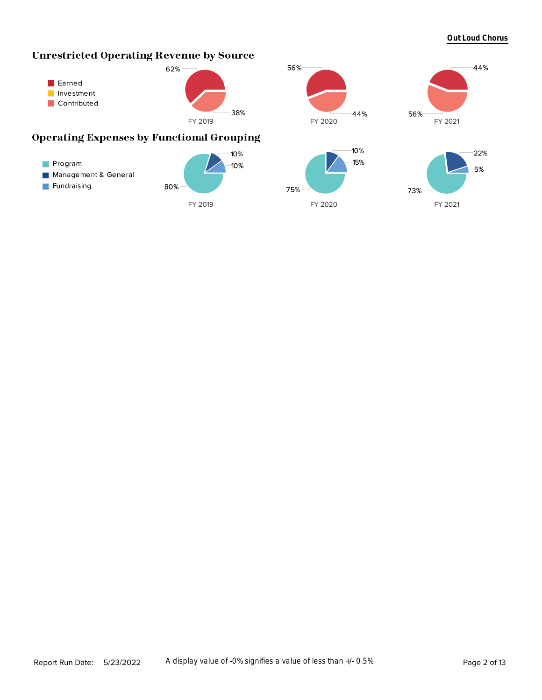#### **Out Loud Chorus**

44%

## **Unrestricted Operating Revenue by Source**



## **Operating Expenses by Functional Grouping**



56%

44%

56%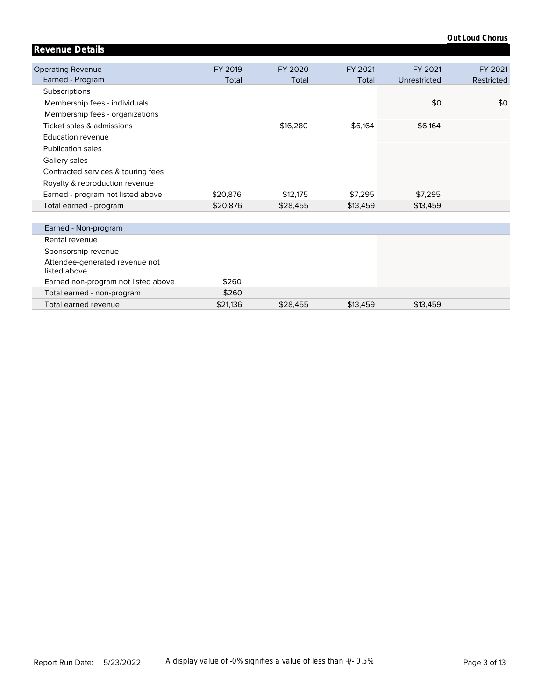| <b>Revenue Details</b>                         |          |          |          |              |            |
|------------------------------------------------|----------|----------|----------|--------------|------------|
|                                                |          |          |          |              |            |
| <b>Operating Revenue</b>                       | FY 2019  | FY 2020  | FY 2021  | FY 2021      | FY 2021    |
| Earned - Program                               | Total    | Total    | Total    | Unrestricted | Restricted |
| Subscriptions                                  |          |          |          |              |            |
| Membership fees - individuals                  |          |          |          | \$0          | \$0        |
| Membership fees - organizations                |          |          |          |              |            |
| Ticket sales & admissions                      |          | \$16,280 | \$6,164  | \$6,164      |            |
| <b>Education revenue</b>                       |          |          |          |              |            |
| <b>Publication sales</b>                       |          |          |          |              |            |
| Gallery sales                                  |          |          |          |              |            |
| Contracted services & touring fees             |          |          |          |              |            |
| Royalty & reproduction revenue                 |          |          |          |              |            |
| Earned - program not listed above              | \$20,876 | \$12,175 | \$7.295  | \$7,295      |            |
| Total earned - program                         | \$20,876 | \$28,455 | \$13,459 | \$13,459     |            |
|                                                |          |          |          |              |            |
| Earned - Non-program                           |          |          |          |              |            |
| Rental revenue                                 |          |          |          |              |            |
| Sponsorship revenue                            |          |          |          |              |            |
| Attendee-generated revenue not<br>listed above |          |          |          |              |            |
| Earned non-program not listed above            | \$260    |          |          |              |            |
| Total earned - non-program                     | \$260    |          |          |              |            |
| Total earned revenue                           | \$21.136 | \$28,455 | \$13,459 | \$13,459     |            |

**Out Loud Chorus**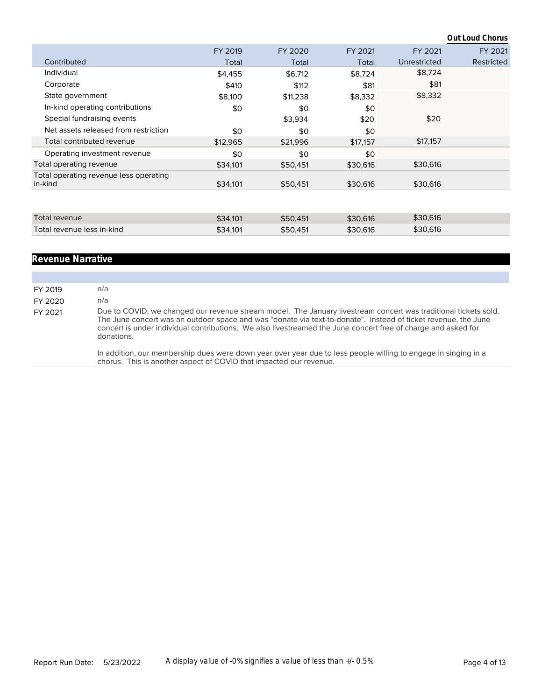|                                                   |          |          |          |              | Out Loud Chorus |
|---------------------------------------------------|----------|----------|----------|--------------|-----------------|
|                                                   | FY 2019  | FY 2020  | FY 2021  | FY 2021      | FY 2021         |
| Contributed                                       | Total    | Total    | Total    | Unrestricted | Restricted      |
| Individual                                        | \$4,455  | \$6,712  | \$8,724  | \$8,724      |                 |
| Corporate                                         | \$410    | \$112    | \$81     | \$81         |                 |
| State government                                  | \$8,100  | \$11,238 | \$8,332  | \$8,332      |                 |
| In-kind operating contributions                   | \$0      | \$0      | \$0      |              |                 |
| Special fundraising events                        |          | \$3,934  | \$20     | \$20         |                 |
| Net assets released from restriction              | \$0      | \$0      | \$0      |              |                 |
| Total contributed revenue                         | \$12,965 | \$21,996 | \$17,157 | \$17,157     |                 |
| Operating investment revenue                      | \$0      | \$0      | \$0      |              |                 |
| Total operating revenue                           | \$34,101 | \$50,451 | \$30,616 | \$30,616     |                 |
| Total operating revenue less operating<br>in-kind | \$34,101 | \$50,451 | \$30,616 | \$30,616     |                 |
|                                                   |          |          |          |              |                 |
| Total revenue                                     | \$34,101 | \$50,451 | \$30,616 | \$30,616     |                 |
| Total revenue less in-kind                        | \$34,101 | \$50,451 | \$30,616 | \$30,616     |                 |

#### **Revenue Narrative**

FY 2019 n/a FY 2020 n/a FY 2021 Due to COVID, we changed our revenue stream model. The January livestream concert was traditional tickets sold. The June concert was an outdoor space and was "donate via text-to-donate". Instead of ticket revenue, the June concert is under individual contributions. We also livestreamed the June concert free of charge and asked for donations.

> In addition, our membership dues were down year over year due to less people willing to engage in singing in a chorus. This is another aspect of COVID that impacted our revenue.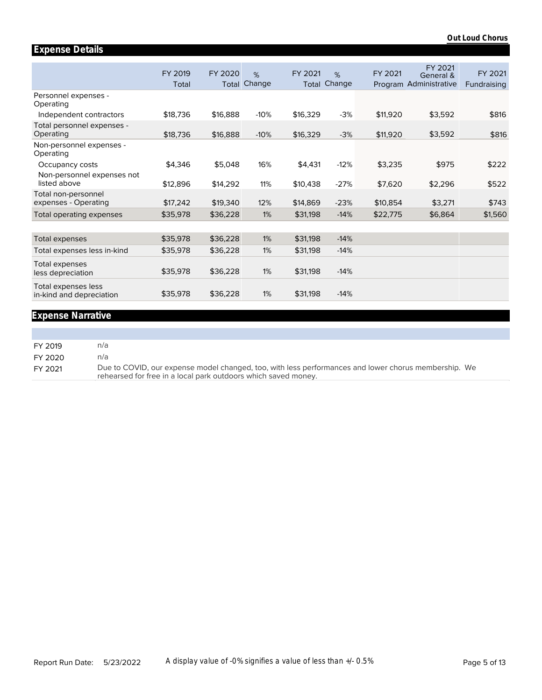|                                                 | FY 2019<br>Total | FY 2020<br>Total | %<br>Change | FY 2021<br>Total | %<br>Change | FY 2021  | FY 2021<br>General &<br>Program Administrative | FY 2021<br>Fundraising |
|-------------------------------------------------|------------------|------------------|-------------|------------------|-------------|----------|------------------------------------------------|------------------------|
| Personnel expenses -<br>Operating               |                  |                  |             |                  |             |          |                                                |                        |
| Independent contractors                         | \$18,736         | \$16,888         | $-10%$      | \$16,329         | $-3%$       | \$11,920 | \$3,592                                        | \$816                  |
| Total personnel expenses -<br>Operating         | \$18,736         | \$16,888         | $-10%$      | \$16,329         | $-3%$       | \$11,920 | \$3,592                                        | \$816                  |
| Non-personnel expenses -<br>Operating           |                  |                  |             |                  |             |          |                                                |                        |
| Occupancy costs                                 | \$4,346          | \$5,048          | 16%         | \$4,431          | $-12%$      | \$3,235  | \$975                                          | \$222                  |
| Non-personnel expenses not<br>listed above      | \$12,896         | \$14,292         | 11%         | \$10,438         | $-27%$      | \$7,620  | \$2,296                                        | \$522                  |
| Total non-personnel<br>expenses - Operating     | \$17,242         | \$19,340         | 12%         | \$14,869         | $-23%$      | \$10,854 | \$3,271                                        | \$743                  |
| <b>Total operating expenses</b>                 | \$35,978         | \$36,228         | 1%          | \$31,198         | $-14%$      | \$22,775 | \$6,864                                        | \$1,560                |
|                                                 |                  |                  |             |                  |             |          |                                                |                        |
| Total expenses                                  | \$35,978         | \$36,228         | 1%          | \$31,198         | $-14%$      |          |                                                |                        |
| Total expenses less in-kind                     | \$35,978         | \$36,228         | 1%          | \$31,198         | $-14%$      |          |                                                |                        |
| Total expenses<br>less depreciation             | \$35,978         | \$36,228         | 1%          | \$31,198         | $-14%$      |          |                                                |                        |
| Total expenses less<br>in-kind and depreciation | \$35,978         | \$36,228         | 1%          | \$31,198         | $-14%$      |          |                                                |                        |
|                                                 |                  |                  |             |                  |             |          |                                                |                        |

## **Expense Narrative**

**Expense Details**

| FY 2019 | n/al                                                                                                                                                                   |
|---------|------------------------------------------------------------------------------------------------------------------------------------------------------------------------|
| FY 2020 | n/a                                                                                                                                                                    |
| FY 2021 | Due to COVID, our expense model changed, too, with less performances and lower chorus membership. We<br>rehearsed for free in a local park outdoors which saved money. |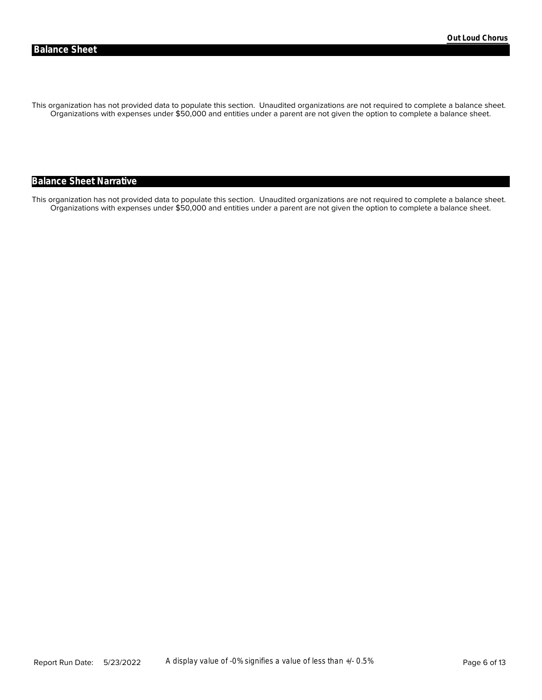Organizations with expenses under \$50,000 and entities under a parent are not given the option to complete a balance sheet. This organization has not provided data to populate this section. Unaudited organizations are not required to complete a balance sheet.

## **Balance Sheet Narrative**

Organizations with expenses under \$50,000 and entities under a parent are not given the option to complete a balance sheet. This organization has not provided data to populate this section. Unaudited organizations are not required to complete a balance sheet.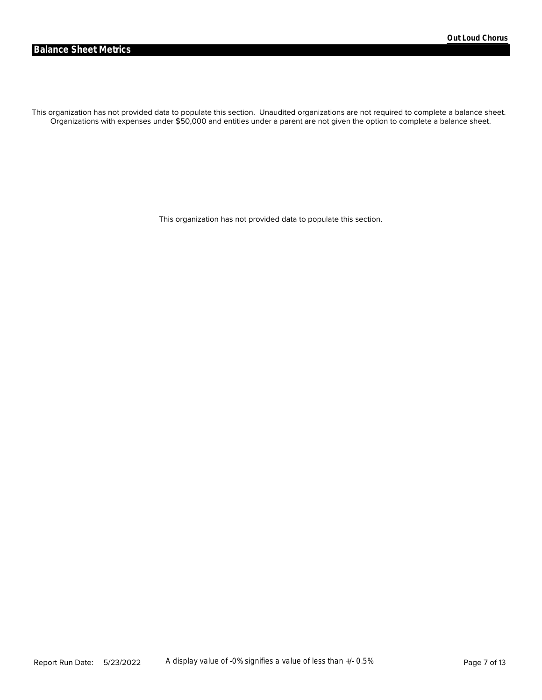Organizations with expenses under \$50,000 and entities under a parent are not given the option to complete a balance sheet. This organization has not provided data to populate this section. Unaudited organizations are not required to complete a balance sheet.

This organization has not provided data to populate this section.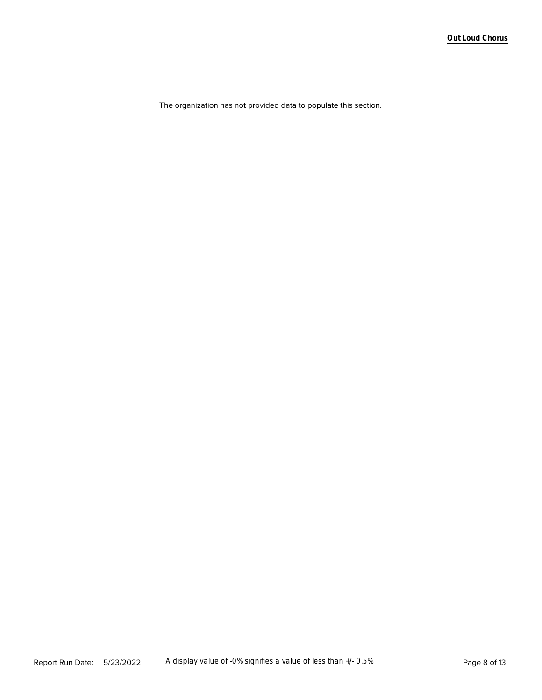The organization has not provided data to populate this section.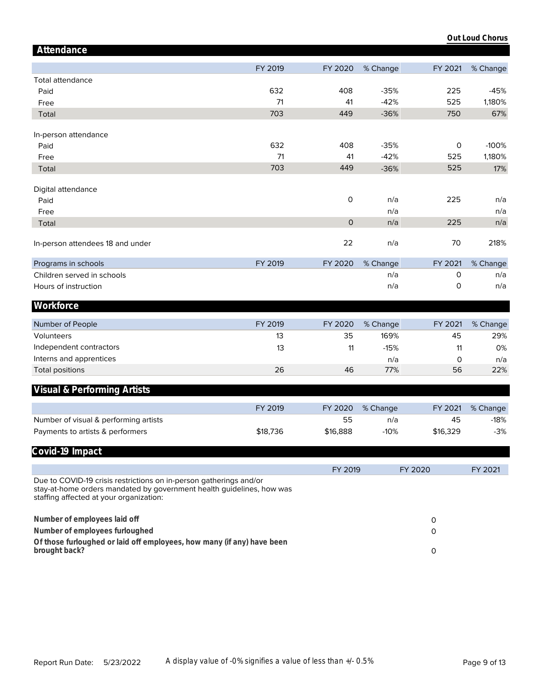|                                                                                                                                                                                        |          |                |          |          | Out Loud Chorus |
|----------------------------------------------------------------------------------------------------------------------------------------------------------------------------------------|----------|----------------|----------|----------|-----------------|
| Attendance                                                                                                                                                                             |          |                |          |          |                 |
|                                                                                                                                                                                        | FY 2019  | FY 2020        | % Change | FY 2021  | % Change        |
|                                                                                                                                                                                        |          |                |          |          |                 |
| <b>Total attendance</b><br>Paid                                                                                                                                                        | 632      | 408            | $-35%$   | 225      | $-45%$          |
| Free                                                                                                                                                                                   | 71       | 41             | $-42%$   | 525      | 1,180%          |
|                                                                                                                                                                                        | 703      | 449            | $-36%$   | 750      | 67%             |
| Total                                                                                                                                                                                  |          |                |          |          |                 |
| In-person attendance                                                                                                                                                                   |          |                |          |          |                 |
| Paid                                                                                                                                                                                   | 632      | 408            | $-35%$   | 0        | $-100%$         |
| Free                                                                                                                                                                                   | 71       | 41             | $-42%$   | 525      | 1,180%          |
| Total                                                                                                                                                                                  | 703      | 449            | $-36%$   | 525      | 17%             |
|                                                                                                                                                                                        |          |                |          |          |                 |
| Digital attendance                                                                                                                                                                     |          |                |          |          |                 |
| Paid                                                                                                                                                                                   |          | $\mathsf O$    | n/a      | 225      | n/a             |
| Free                                                                                                                                                                                   |          |                | n/a      |          | n/a             |
| Total                                                                                                                                                                                  |          | $\overline{0}$ | n/a      | 225      | n/a             |
|                                                                                                                                                                                        |          |                |          |          |                 |
| In-person attendees 18 and under                                                                                                                                                       |          | 22             | n/a      | 70       | 218%            |
|                                                                                                                                                                                        |          |                |          |          |                 |
| Programs in schools                                                                                                                                                                    | FY 2019  | FY 2020        | % Change | FY 2021  | % Change        |
| Children served in schools                                                                                                                                                             |          |                | n/a      | 0        | n/a             |
| Hours of instruction                                                                                                                                                                   |          |                | n/a      | 0        | n/a             |
| Workforce                                                                                                                                                                              |          |                |          |          |                 |
|                                                                                                                                                                                        |          |                |          |          |                 |
| Number of People                                                                                                                                                                       | FY 2019  | FY 2020        | % Change | FY 2021  | % Change        |
| Volunteers                                                                                                                                                                             | 13       | 35             | 169%     | 45       | 29%             |
| Independent contractors                                                                                                                                                                | 13       | 11             | $-15%$   | 11       | 0%              |
| Interns and apprentices                                                                                                                                                                |          |                | n/a      | 0        | n/a             |
| <b>Total positions</b>                                                                                                                                                                 | 26       | 46             | 77%      | 56       | 22%             |
|                                                                                                                                                                                        |          |                |          |          |                 |
| Visual & Performing Artists                                                                                                                                                            |          |                |          |          |                 |
|                                                                                                                                                                                        | FY 2019  | FY 2020        | % Change | FY 2021  | % Change        |
| Number of visual & performing artists                                                                                                                                                  |          | 55             | n/a      | 45       | $-18%$          |
| Payments to artists & performers                                                                                                                                                       | \$18,736 | \$16,888       | $-10%$   | \$16,329 | $-3%$           |
|                                                                                                                                                                                        |          |                |          |          |                 |
| Covid-19 Impact                                                                                                                                                                        |          |                |          |          |                 |
|                                                                                                                                                                                        |          | FY 2019        |          | FY 2020  | FY 2021         |
| Due to COVID-19 crisis restrictions on in-person gatherings and/or<br>stay-at-home orders mandated by government health guidelines, how was<br>staffing affected at your organization: |          |                |          |          |                 |
|                                                                                                                                                                                        |          |                |          |          |                 |
| Number of employees laid off                                                                                                                                                           |          |                |          | 0        |                 |
| Number of employees furloughed                                                                                                                                                         |          |                |          | 0        |                 |
| Of those furloughed or laid off employees, how many (if any) have been<br>brought back?                                                                                                |          |                |          | 0        |                 |
|                                                                                                                                                                                        |          |                |          |          |                 |
|                                                                                                                                                                                        |          |                |          |          |                 |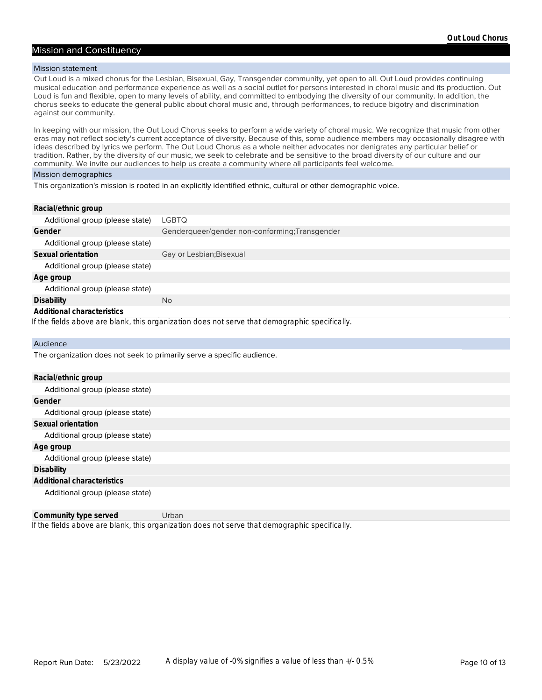#### Mission and Constituency

#### Mission statement

Out Loud is a mixed chorus for the Lesbian, Bisexual, Gay, Transgender community, yet open to all. Out Loud provides continuing musical education and performance experience as well as a social outlet for persons interested in choral music and its production. Out Loud is fun and flexible, open to many levels of ability, and committed to embodying the diversity of our community. In addition, the chorus seeks to educate the general public about choral music and, through performances, to reduce bigotry and discrimination against our community.

In keeping with our mission, the Out Loud Chorus seeks to perform a wide variety of choral music. We recognize that music from other eras may not reflect society's current acceptance of diversity. Because of this, some audience members may occasionally disagree with ideas described by lyrics we perform. The Out Loud Chorus as a whole neither advocates nor denigrates any particular belief or tradition. Rather, by the diversity of our music, we seek to celebrate and be sensitive to the broad diversity of our culture and our community. We invite our audiences to help us create a community where all participants feel welcome.

#### Mission demographics

This organization's mission is rooted in an explicitly identified ethnic, cultural or other demographic voice.

**Racial/ethnic group**

| Additional group (please state) | LGBTQ                                          |
|---------------------------------|------------------------------------------------|
| Gender                          | Genderqueer/gender non-conforming; Transgender |
| Additional group (please state) |                                                |
| Sexual orientation              | Gay or Lesbian; Bisexual                       |
| Additional group (please state) |                                                |
| Age group                       |                                                |
| Additional group (please state) |                                                |
| Disability                      | <b>No</b>                                      |
| Additional characteristics      |                                                |
|                                 |                                                |

*If the fields above are blank, this organization does not serve that demographic specifically.*

#### Audience

The organization does not seek to primarily serve a specific audience.

| Racial/ethnic group             |
|---------------------------------|
| Additional group (please state) |
| Gender                          |
| Additional group (please state) |
| Sexual orientation              |
| Additional group (please state) |
| Age group                       |
| Additional group (please state) |
| <b>Disability</b>               |
| Additional characteristics      |
| Additional group (please state) |

*If the fields above are blank, this organization does not serve that demographic specifically.* **Community type served** Urban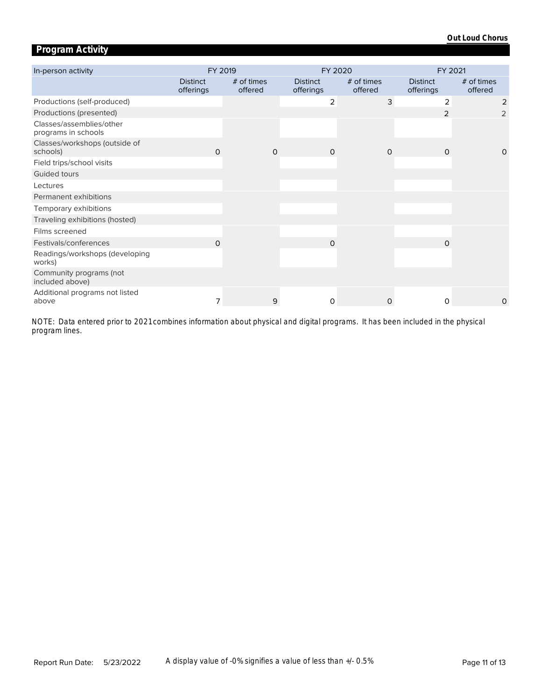## **Program Activity**

| In-person activity                              | FY 2019                      |                       |          | FY 2020                      |                       | FY 2021                      |                       |  |
|-------------------------------------------------|------------------------------|-----------------------|----------|------------------------------|-----------------------|------------------------------|-----------------------|--|
|                                                 | <b>Distinct</b><br>offerings | # of times<br>offered |          | <b>Distinct</b><br>offerings | # of times<br>offered | <b>Distinct</b><br>offerings | # of times<br>offered |  |
| Productions (self-produced)                     |                              |                       |          | 2                            | 3                     | 2                            | 2                     |  |
| Productions (presented)                         |                              |                       |          |                              |                       | 2                            | 2                     |  |
| Classes/assemblies/other<br>programs in schools |                              |                       |          |                              |                       |                              |                       |  |
| Classes/workshops (outside of<br>schools)       | $\Omega$                     |                       | $\Omega$ | $\Omega$                     | $\Omega$              | $\Omega$                     | $\Omega$              |  |
| Field trips/school visits                       |                              |                       |          |                              |                       |                              |                       |  |
| Guided tours                                    |                              |                       |          |                              |                       |                              |                       |  |
| Lectures                                        |                              |                       |          |                              |                       |                              |                       |  |
| Permanent exhibitions                           |                              |                       |          |                              |                       |                              |                       |  |
| Temporary exhibitions                           |                              |                       |          |                              |                       |                              |                       |  |
| Traveling exhibitions (hosted)                  |                              |                       |          |                              |                       |                              |                       |  |
| Films screened                                  |                              |                       |          |                              |                       |                              |                       |  |
| Festivals/conferences                           | $\Omega$                     |                       |          | $\Omega$                     |                       | $\Omega$                     |                       |  |
| Readings/workshops (developing<br>works)        |                              |                       |          |                              |                       |                              |                       |  |
| Community programs (not<br>included above)      |                              |                       |          |                              |                       |                              |                       |  |
| Additional programs not listed<br>above         | 7                            |                       | 9        | 0                            | $\Omega$              | 0                            | 0                     |  |

*program lines. NOTE: Data entered prior to 2021 combines information about physical and digital programs. It has been included in the physical*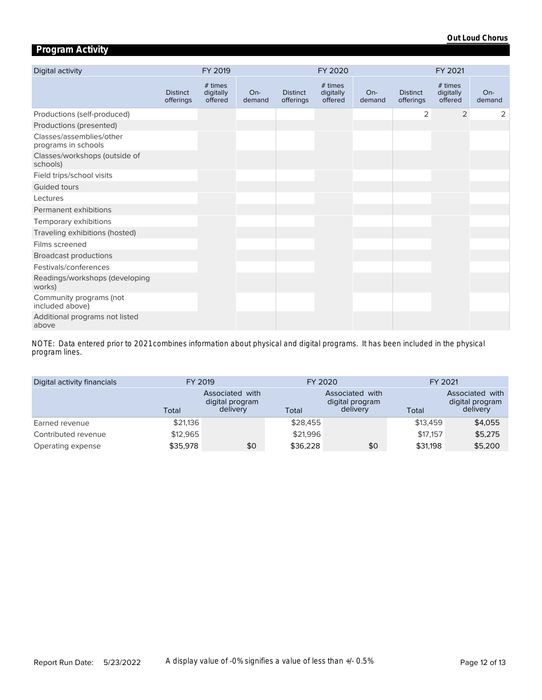## **Program Activity**

| Digital activity                                |                              | FY 2019                         |                 |                              | FY 2020                         |                 |                              | FY 2021                         |               |
|-------------------------------------------------|------------------------------|---------------------------------|-----------------|------------------------------|---------------------------------|-----------------|------------------------------|---------------------------------|---------------|
|                                                 | <b>Distinct</b><br>offerings | # times<br>digitally<br>offered | $On-$<br>demand | <b>Distinct</b><br>offerings | # times<br>digitally<br>offered | $On-$<br>demand | <b>Distinct</b><br>offerings | # times<br>digitally<br>offered | On-<br>demand |
| Productions (self-produced)                     |                              |                                 |                 |                              |                                 |                 | 2                            | 2                               | 2             |
| Productions (presented)                         |                              |                                 |                 |                              |                                 |                 |                              |                                 |               |
| Classes/assemblies/other<br>programs in schools |                              |                                 |                 |                              |                                 |                 |                              |                                 |               |
| Classes/workshops (outside of<br>schools)       |                              |                                 |                 |                              |                                 |                 |                              |                                 |               |
| Field trips/school visits                       |                              |                                 |                 |                              |                                 |                 |                              |                                 |               |
| Guided tours                                    |                              |                                 |                 |                              |                                 |                 |                              |                                 |               |
| Lectures                                        |                              |                                 |                 |                              |                                 |                 |                              |                                 |               |
| Permanent exhibitions                           |                              |                                 |                 |                              |                                 |                 |                              |                                 |               |
| Temporary exhibitions                           |                              |                                 |                 |                              |                                 |                 |                              |                                 |               |
| Traveling exhibitions (hosted)                  |                              |                                 |                 |                              |                                 |                 |                              |                                 |               |
| Films screened                                  |                              |                                 |                 |                              |                                 |                 |                              |                                 |               |
| <b>Broadcast productions</b>                    |                              |                                 |                 |                              |                                 |                 |                              |                                 |               |
| Festivals/conferences                           |                              |                                 |                 |                              |                                 |                 |                              |                                 |               |
| Readings/workshops (developing<br>works)        |                              |                                 |                 |                              |                                 |                 |                              |                                 |               |
| Community programs (not<br>included above)      |                              |                                 |                 |                              |                                 |                 |                              |                                 |               |
| Additional programs not listed<br>above         |                              |                                 |                 |                              |                                 |                 |                              |                                 |               |

*program lines. NOTE: Data entered prior to 2021 combines information about physical and digital programs. It has been included in the physical* 

| Digital activity financials | FY 2019  |                                                | FY 2020  |                                                | FY 2021  |                                                |  |
|-----------------------------|----------|------------------------------------------------|----------|------------------------------------------------|----------|------------------------------------------------|--|
|                             | Total    | Associated with<br>digital program<br>delivery | Total    | Associated with<br>digital program<br>delivery | Total    | Associated with<br>digital program<br>delivery |  |
| Earned revenue              | \$21,136 |                                                | \$28,455 |                                                | \$13,459 | \$4,055                                        |  |
| Contributed revenue         | \$12,965 |                                                | \$21,996 |                                                | \$17,157 | \$5,275                                        |  |
| Operating expense           | \$35,978 | \$0                                            | \$36,228 | \$0                                            | \$31,198 | \$5,200                                        |  |